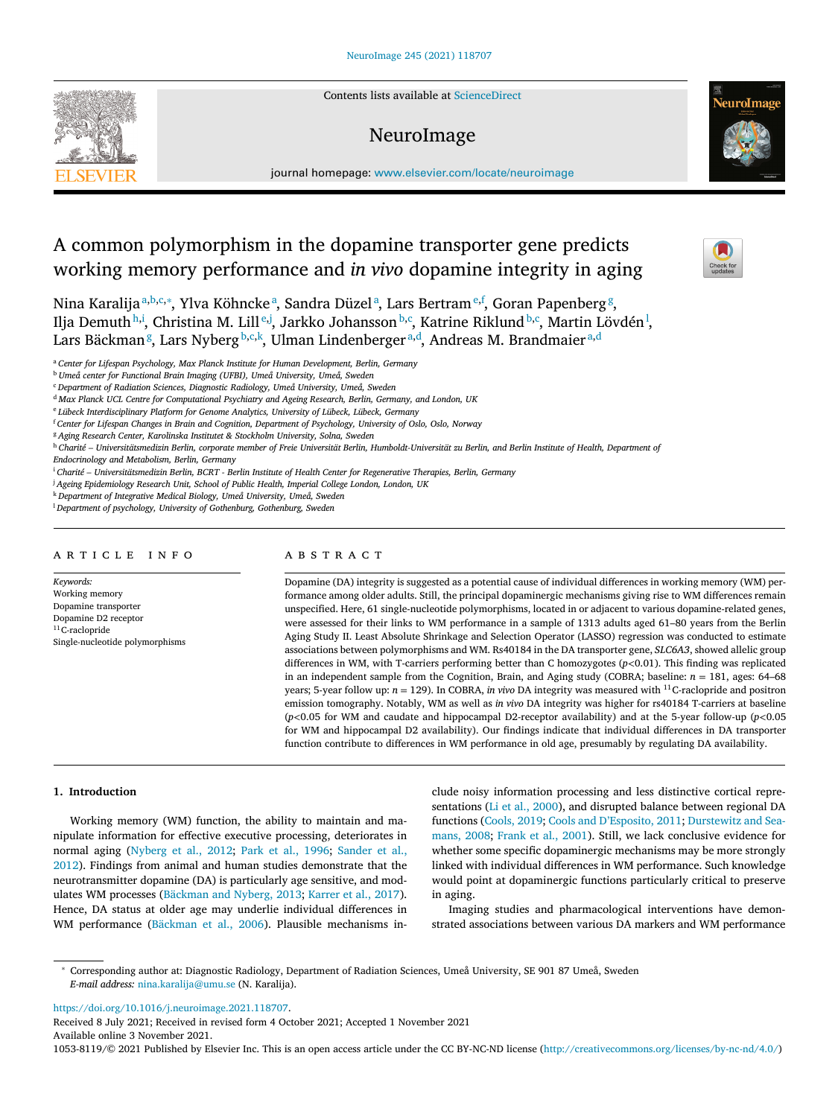Contents lists available at [ScienceDirect](http://www.ScienceDirect.com)

## NeuroImage



journal homepage: [www.elsevier.com/locate/neuroimage](http://www.elsevier.com/locate/neuroimage)

# A common polymorphism in the dopamine transporter gene predicts working memory performance and *in vivo* dopamine integrity in aging

Nina Karalijaª<sup>,b,c,</sup>\*, Ylva Köhnckeª, Sandra Düzelª, Lars Bertram<sup>e,f</sup>, Goran Papenberg<sup>g</sup>, Ilja Demuth<sup>h,i</sup>, Christina M. Lill<sup>e,j</sup>, Jarkko Johansson<sup>b,c</sup>, Katrine Riklund<sup>b,c</sup>, Martin Lövdén<sup>1</sup>, Lars Bäckman<sup>g</sup>, Lars Nyberg<sup>b,c,k</sup>, Ulman Lindenberger<sup>a,d</sup>, Andreas M. Brandmaier<sup>a,d</sup>

<sup>a</sup> *Center for Lifespan Psychology, Max Planck Institute for Human Development, Berlin, Germany*

<sup>b</sup> *Umeå center for Functional Brain Imaging (UFBI), Umeå University, Umeå, Sweden*

<sup>c</sup> *Department of Radiation Sciences, Diagnostic Radiology, Umeå University, Umeå, Sweden*

<sup>d</sup> *Max Planck UCL Centre for Computational Psychiatry and Ageing Research, Berlin, Germany, and London, UK*

<sup>e</sup> *Lübeck Interdisciplinary Platform for Genome Analytics, University of Lübeck, Lübeck, Germany*

<sup>f</sup> *Center for Lifespan Changes in Brain and Cognition, Department of Psychology, University of Oslo, Oslo, Norway*

<sup>g</sup> *Aging Research Center, Karolinska Institutet & Stockholm University, Solna, Sweden*

h Charité - Universitätsmedizin Berlin, corporate member of Freie Universität Berlin, Humboldt-Universität zu Berlin, and Berlin Institute of Health, Department of

*Endocrinology and Metabolism, Berlin, Germany*

<sup>i</sup> *Charité – Universitätsmedizin Berlin, BCRT - Berlin Institute of Health Center for Regenerative Therapies, Berlin, Germany*

<sup>j</sup> *Ageing Epidemiology Research Unit, School of Public Health, Imperial College London, London, UK*

<sup>k</sup> *Department of Integrative Medical Biology, Umeå University, Umeå, Sweden*

<sup>l</sup> *Department of psychology, University of Gothenburg, Gothenburg, Sweden*

## a r t i c l e i n f o

*Keywords:* Working memory Dopamine transporter Dopamine D2 receptor  $11$ C-raclopride Single-nucleotide polymorphisms

## A B S T R A C T

Dopamine (DA) integrity is suggested as a potential cause of individual differences in working memory (WM) performance among older adults. Still, the principal dopaminergic mechanisms giving rise to WM differences remain unspecified. Here, 61 single-nucleotide polymorphisms, located in or adjacent to various dopamine-related genes, were assessed for their links to WM performance in a sample of 1313 adults aged 61–80 years from the Berlin Aging Study II. Least Absolute Shrinkage and Selection Operator (LASSO) regression was conducted to estimate associations between polymorphisms and WM. Rs40184 in the DA transporter gene, *SLC6A3*, showed allelic group differences in WM, with T-carriers performing better than C homozygotes (*p<*0.01). This finding was replicated in an independent sample from the Cognition, Brain, and Aging study (COBRA; baseline:  $n = 181$ , ages: 64–68 years; 5-year follow up: *n* = 129). In COBRA, *in vivo* DA integrity was measured with 11C-raclopride and positron emission tomography. Notably, WM as well as *in vivo* DA integrity was higher for rs40184 T-carriers at baseline (*p<*0.05 for WM and caudate and hippocampal D2-receptor availability) and at the 5-year follow-up (*p<*0.05 for WM and hippocampal D2 availability). Our findings indicate that individual differences in DA transporter function contribute to differences in WM performance in old age, presumably by regulating DA availability.

#### **1. Introduction**

Working memory (WM) function, the ability to maintain and manipulate information for effective executive processing, deteriorates in normal aging [\(Nyberg](#page-6-0) et al., 2012; Park et al., [1996;](#page-7-0) Sander et al., 2012). Findings from animal and human studies [demonstrate](#page-7-0) that the neurotransmitter dopamine (DA) is particularly age sensitive, and modulates WM processes [\(Bäckman](#page-6-0) and Nyberg, 2013; [Karrer](#page-6-0) et al., 2017). Hence, DA status at older age may underlie individual differences in WM performance [\(Bäckman](#page-6-0) et al., 2006). Plausible mechanisms include noisy information processing and less distinctive cortical representations (Li et al., [2000\)](#page-6-0), and disrupted balance between regional DA functions [\(Cools,](#page-6-0) 2019; Cools and [D'Esposito,](#page-6-0) 2011; Durstewitz and Seamans, 2008; [Frank](#page-6-0) et al., 2001). Still, we lack conclusive evidence for whether some specific dopaminergic mechanisms may be more strongly linked with individual differences in WM performance. Such knowledge would point at dopaminergic functions particularly critical to preserve in aging.

Imaging studies and pharmacological interventions have demonstrated associations between various DA markers and WM performance

<sup>∗</sup> Corresponding author at: Diagnostic Radiology, Department of Radiation Sciences, Umeå University, SE 901 87 Umeå, Sweden *E-mail address:* [nina.karalija@umu.se](mailto:nina.karalija@umu.se) (N. Karalija).

[https://doi.org/10.1016/j.neuroimage.2021.118707.](https://doi.org/10.1016/j.neuroimage.2021.118707)

Received 8 July 2021; Received in revised form 4 October 2021; Accepted 1 November 2021 Available online 3 November 2021.

1053-8119/© 2021 Published by Elsevier Inc. This is an open access article under the CC BY-NC-ND license [\(http://creativecommons.org/licenses/by-nc-nd/4.0/\)](http://creativecommons.org/licenses/by-nc-nd/4.0/)

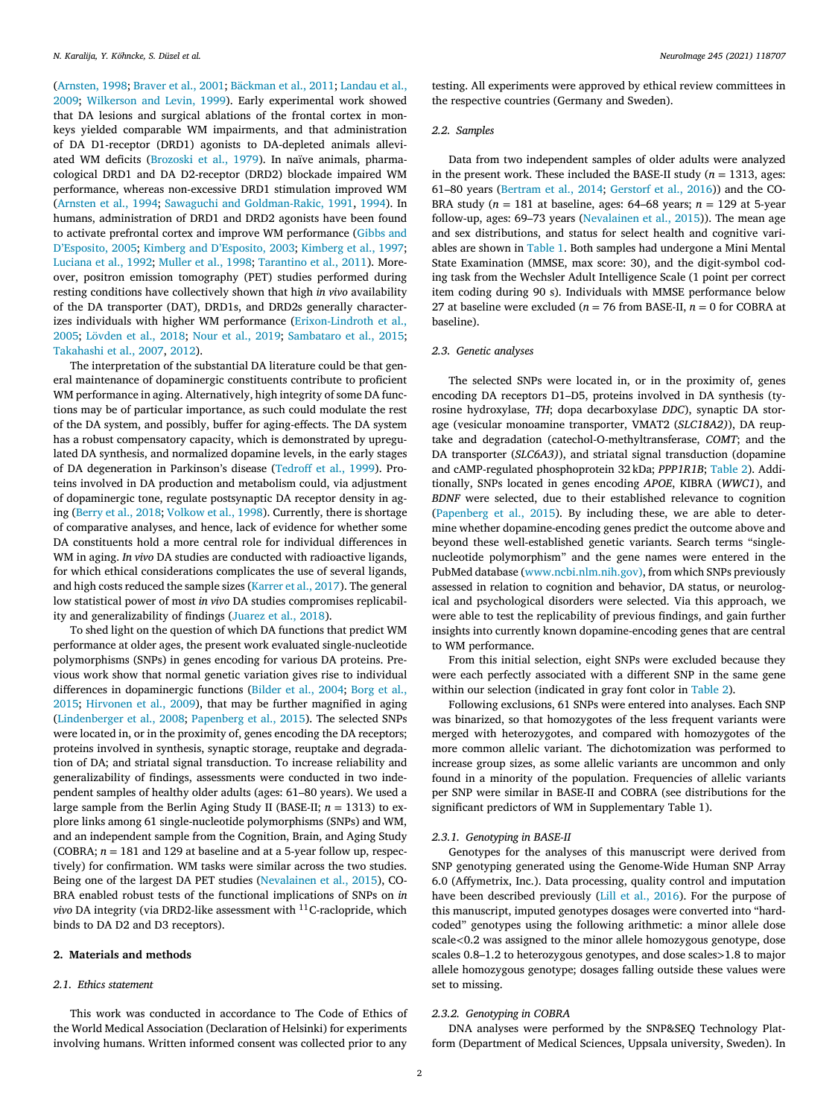[\(Arnsten,](#page-6-0) 1998; [Braver](#page-6-0) et al., 2001; [Bäckman](#page-6-0) et al., 2011; Landau et al., 2009; [Wilkerson](#page-7-0) and Levin, 1999). Early [experimental](#page-6-0) work showed that DA lesions and surgical ablations of the frontal cortex in monkeys yielded comparable WM impairments, and that administration of DA D1-receptor (DRD1) agonists to DA-depleted animals alleviated WM deficits [\(Brozoski](#page-6-0) et al., 1979). In naïve animals, pharmacological DRD1 and DA D2-receptor (DRD2) blockade impaired WM performance, whereas non-excessive DRD1 stimulation improved WM [\(Arnsten](#page-6-0) et al., 1994; Sawaguchi and [Goldman-Rakic,](#page-7-0) 1991, [1994\)](#page-7-0). In humans, administration of DRD1 and DRD2 agonists have been found to activate prefrontal cortex and improve WM [performance](#page-6-0) (Gibbs and D'Esposito, 2005; Kimberg and [D'Esposito,](#page-6-0) 2003; [Kimberg](#page-6-0) et al., 1997; [Luciana](#page-6-0) et al., 1992; [Muller](#page-6-0) et al., 1998; [Tarantino](#page-7-0) et al., 2011). Moreover, positron emission tomography (PET) studies performed during resting conditions have collectively shown that high *in vivo* availability of the DA transporter (DAT), DRD1s, and DRD2s generally characterizes individuals with higher WM performance [\(Erixon-Lindroth](#page-6-0) et al., 2005; [Lövden](#page-6-0) et al., 2018; Nour et al., [2019;](#page-6-0) [Sambataro](#page-7-0) et al., 2015; [Takahashi](#page-7-0) et al., 2007, [2012\)](#page-7-0).

The interpretation of the substantial DA literature could be that general maintenance of dopaminergic constituents contribute to proficient WM performance in aging. Alternatively, high integrity of some DA functions may be of particular importance, as such could modulate the rest of the DA system, and possibly, buffer for aging-effects. The DA system has a robust compensatory capacity, which is demonstrated by upregulated DA synthesis, and normalized dopamine levels, in the early stages of DA degeneration in Parkinson's disease [\(Tedroff et](#page-7-0) al., 1999). Proteins involved in DA production and metabolism could, via adjustment of dopaminergic tone, regulate postsynaptic DA receptor density in aging [\(Berry](#page-6-0) et al., 2018; [Volkow](#page-7-0) et al., 1998). Currently, there is shortage of comparative analyses, and hence, lack of evidence for whether some DA constituents hold a more central role for individual differences in WM in aging. *In vivo* DA studies are conducted with radioactive ligands, for which ethical considerations complicates the use of several ligands, and high costs reduced the sample sizes [\(Karrer](#page-6-0) et al., 2017). The general low statistical power of most *in vivo* DA studies compromises replicability and generalizability of findings [\(Juarez](#page-6-0) et al., 2018).

To shed light on the question of which DA functions that predict WM performance at older ages, the present work evaluated single-nucleotide polymorphisms (SNPs) in genes encoding for various DA proteins. Previous work show that normal genetic variation gives rise to individual differences in [dopaminergic](#page-6-0) functions [\(Bilder](#page-6-0) et al., 2004; Borg et al., 2015; [Hirvonen](#page-6-0) et al., 2009), that may be further magnified in aging [\(Lindenberger](#page-6-0) et al., 2008; [Papenberg](#page-7-0) et al., 2015). The selected SNPs were located in, or in the proximity of, genes encoding the DA receptors; proteins involved in synthesis, synaptic storage, reuptake and degradation of DA; and striatal signal transduction. To increase reliability and generalizability of findings, assessments were conducted in two independent samples of healthy older adults (ages: 61–80 years). We used a large sample from the Berlin Aging Study II (BASE-II; *n* = 1313) to explore links among 61 single-nucleotide polymorphisms (SNPs) and WM, and an independent sample from the Cognition, Brain, and Aging Study (COBRA;  $n = 181$  and 129 at baseline and at a 5-year follow up, respectively) for confirmation. WM tasks were similar across the two studies. Being one of the largest DA PET studies [\(Nevalainen](#page-6-0) et al., 2015), CO-BRA enabled robust tests of the functional implications of SNPs on *in vivo* DA integrity (via DRD2-like assessment with <sup>11</sup>C-raclopride, which binds to DA D2 and D3 receptors).

#### **2. Materials and methods**

#### *2.1. Ethics statement*

This work was conducted in accordance to The Code of Ethics of the World Medical Association (Declaration of Helsinki) for experiments involving humans. Written informed consent was collected prior to any

testing. All experiments were approved by ethical review committees in the respective countries (Germany and Sweden).

#### *2.2. Samples*

Data from two independent samples of older adults were analyzed in the present work. These included the BASE-II study ( $n = 1313$ , ages: 61–80 years [\(Bertram](#page-6-0) et al., 2014; [Gerstorf](#page-6-0) et al., 2016)) and the CO-BRA study ( $n = 181$  at baseline, ages: 64–68 years;  $n = 129$  at 5-year follow-up, ages: 69–73 years [\(Nevalainen](#page-6-0) et al., 2015)). The mean age and sex distributions, and status for select health and cognitive variables are shown in [Table](#page-2-0) 1. Both samples had undergone a Mini Mental State Examination (MMSE, max score: 30), and the digit-symbol coding task from the Wechsler Adult Intelligence Scale (1 point per correct item coding during 90 s). Individuals with MMSE performance below 27 at baseline were excluded ( $n = 76$  from BASE-II,  $n = 0$  for COBRA at baseline).

#### *2.3. Genetic analyses*

The selected SNPs were located in, or in the proximity of, genes encoding DA receptors D1–D5, proteins involved in DA synthesis (tyrosine hydroxylase, *TH*; dopa decarboxylase *DDC*), synaptic DA storage (vesicular monoamine transporter, VMAT2 (*SLC18A2)*), DA reuptake and degradation (catechol-O-methyltransferase, *COMT*; and the DA transporter (*SLC6A3)*), and striatal signal transduction (dopamine and cAMP-regulated phosphoprotein 32 kDa; *PPP1R1B*; [Table](#page-2-0) 2). Additionally, SNPs located in genes encoding *APOE*, KIBRA (*WWC1*), and *BDNF* were selected, due to their established relevance to cognition [\(Papenberg](#page-7-0) et al., 2015). By including these, we are able to determine whether dopamine-encoding genes predict the outcome above and beyond these well-established genetic variants. Search terms "singlenucleotide polymorphism" and the gene names were entered in the PubMed database [\(www.ncbi.nlm.nih.gov\),](http://www.ncbi.nlm.nih.gov\051) from which SNPs previously assessed in relation to cognition and behavior, DA status, or neurological and psychological disorders were selected. Via this approach, we were able to test the replicability of previous findings, and gain further insights into currently known dopamine-encoding genes that are central to WM performance.

From this initial selection, eight SNPs were excluded because they were each perfectly associated with a different SNP in the same gene within our selection (indicated in gray font color in [Table](#page-2-0) 2).

Following exclusions, 61 SNPs were entered into analyses. Each SNP was binarized, so that homozygotes of the less frequent variants were merged with heterozygotes, and compared with homozygotes of the more common allelic variant. The dichotomization was performed to increase group sizes, as some allelic variants are uncommon and only found in a minority of the population. Frequencies of allelic variants per SNP were similar in BASE-II and COBRA (see distributions for the significant predictors of WM in Supplementary Table 1).

#### *2.3.1. Genotyping in BASE-II*

Genotypes for the analyses of this manuscript were derived from SNP genotyping generated using the Genome-Wide Human SNP Array 6.0 (Affymetrix, Inc.). Data processing, quality control and imputation have been described previously (Lill et al., [2016\)](#page-6-0). For the purpose of this manuscript, imputed genotypes dosages were converted into "hardcoded" genotypes using the following arithmetic: a minor allele dose scale*<*0.2 was assigned to the minor allele homozygous genotype, dose scales 0.8–1.2 to heterozygous genotypes, and dose scales*>*1.8 to major allele homozygous genotype; dosages falling outside these values were set to missing.

## *2.3.2. Genotyping in COBRA*

DNA analyses were performed by the SNP&SEQ Technology Platform (Department of Medical Sciences, Uppsala university, Sweden). In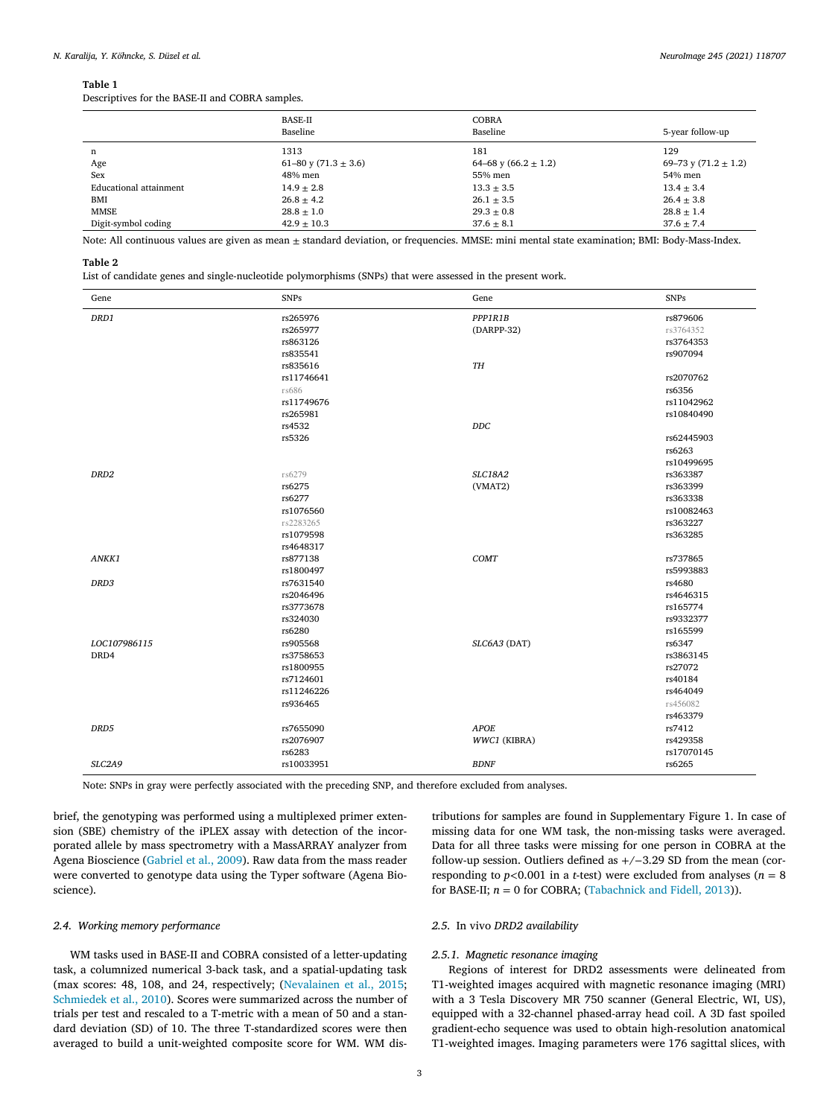#### <span id="page-2-0"></span>**Table 1**

Descriptives for the BASE-II and COBRA samples.

|                        | BASE-II<br>Baseline      | <b>COBRA</b><br>Baseline | 5-year follow-up         |
|------------------------|--------------------------|--------------------------|--------------------------|
| n                      | 1313                     | 181                      | 129                      |
| Age                    | 61–80 y (71.3 $\pm$ 3.6) | 64–68 y (66.2 $\pm$ 1.2) | 69–73 y (71.2 $\pm$ 1.2) |
| Sex                    | 48% men                  | 55% men                  | 54% men                  |
| Educational attainment | $14.9 \pm 2.8$           | $13.3 \pm 3.5$           | $13.4 \pm 3.4$           |
| BMI                    | $26.8 \pm 4.2$           | $26.1 \pm 3.5$           | $26.4 \pm 3.8$           |
| <b>MMSE</b>            | $28.8 \pm 1.0$           | $29.3 \pm 0.8$           | $28.8 \pm 1.4$           |
| Digit-symbol coding    | $42.9 \pm 10.3$          | $37.6 + 8.1$             | $37.6 \pm 7.4$           |

Note: All continuous values are given as mean ± standard deviation, or frequencies. MMSE: mini mental state examination; BMI: Body-Mass-Index.

#### **Table 2**

List of candidate genes and single-nucleotide polymorphisms (SNPs) that were assessed in the present work.

| Gene                | <b>SNPs</b> | Gene           | <b>SNPs</b> |
|---------------------|-------------|----------------|-------------|
| DRD1                | rs265976    | PPP1R1B        | rs879606    |
|                     | rs265977    | (DARPP-32)     | rs3764352   |
|                     | rs863126    |                | rs3764353   |
|                     | rs835541    |                | rs907094    |
|                     | rs835616    | TH             |             |
|                     | rs11746641  |                | rs2070762   |
|                     | rs686       |                | rs6356      |
|                     | rs11749676  |                | rs11042962  |
|                     | rs265981    |                | rs10840490  |
|                     | rs4532      | $DDC$          |             |
|                     | rs5326      |                | rs62445903  |
|                     |             |                | rs6263      |
|                     |             |                | rs10499695  |
| DRD <sub>2</sub>    | rs6279      | <b>SLC18A2</b> | rs363387    |
|                     | rs6275      | (VMAT2)        | rs363399    |
|                     | rs6277      |                | rs363338    |
|                     | rs1076560   |                | rs10082463  |
|                     | rs2283265   |                | rs363227    |
|                     | rs1079598   |                | rs363285    |
|                     | rs4648317   |                |             |
| ANKK1               | rs877138    | <b>COMT</b>    | rs737865    |
|                     | rs1800497   |                | rs5993883   |
| DRD3                | rs7631540   |                | rs4680      |
|                     | rs2046496   |                | rs4646315   |
|                     | rs3773678   |                | rs165774    |
|                     | rs324030    |                | rs9332377   |
|                     | rs6280      |                | rs165599    |
| LOC107986115        | rs905568    | SLC6A3 (DAT)   | rs6347      |
| DRD4                | rs3758653   |                | rs3863145   |
|                     | rs1800955   |                | rs27072     |
|                     | rs7124601   |                | rs40184     |
|                     | rs11246226  |                | rs464049    |
|                     | rs936465    |                | rs456082    |
|                     |             |                | rs463379    |
| DRD5                | rs7655090   | <b>APOE</b>    | rs7412      |
|                     | rs2076907   | WWC1 (KIBRA)   | rs429358    |
|                     | rs6283      |                | rs17070145  |
| SLC <sub>2</sub> A9 | rs10033951  | <b>BDNF</b>    | rs6265      |

Note: SNPs in gray were perfectly associated with the preceding SNP, and therefore excluded from analyses.

brief, the genotyping was performed using a multiplexed primer extension (SBE) chemistry of the iPLEX assay with detection of the incorporated allele by mass spectrometry with a MassARRAY analyzer from Agena Bioscience [\(Gabriel](#page-6-0) et al., 2009). Raw data from the mass reader were converted to genotype data using the Typer software (Agena Bioscience).

#### *2.4. Working memory performance*

WM tasks used in BASE-II and COBRA consisted of a letter-updating task, a columnized numerical 3-back task, and a spatial-updating task (max scores: 48, 108, and 24, respectively; [\(Nevalainen](#page-6-0) et al., 2015; [Schmiedek](#page-7-0) et al., 2010). Scores were summarized across the number of trials per test and rescaled to a T-metric with a mean of 50 and a standard deviation (SD) of 10. The three T-standardized scores were then averaged to build a unit-weighted composite score for WM. WM dis-

tributions for samples are found in Supplementary Figure 1. In case of missing data for one WM task, the non-missing tasks were averaged. Data for all three tasks were missing for one person in COBRA at the follow-up session. Outliers defined as +/−3.29 SD from the mean (corresponding to  $p < 0.001$  in a *t*-test) were excluded from analyses ( $n = 8$ ) for BASE-II;  $n = 0$  for COBRA; [\(Tabachnick](#page-7-0) and Fidell, 2013)).

#### *2.5.* In vivo *DRD2 availability*

#### *2.5.1. Magnetic resonance imaging*

Regions of interest for DRD2 assessments were delineated from T1-weighted images acquired with magnetic resonance imaging (MRI) with a 3 Tesla Discovery MR 750 scanner (General Electric, WI, US), equipped with a 32-channel phased-array head coil. A 3D fast spoiled gradient-echo sequence was used to obtain high-resolution anatomical T1-weighted images. Imaging parameters were 176 sagittal slices, with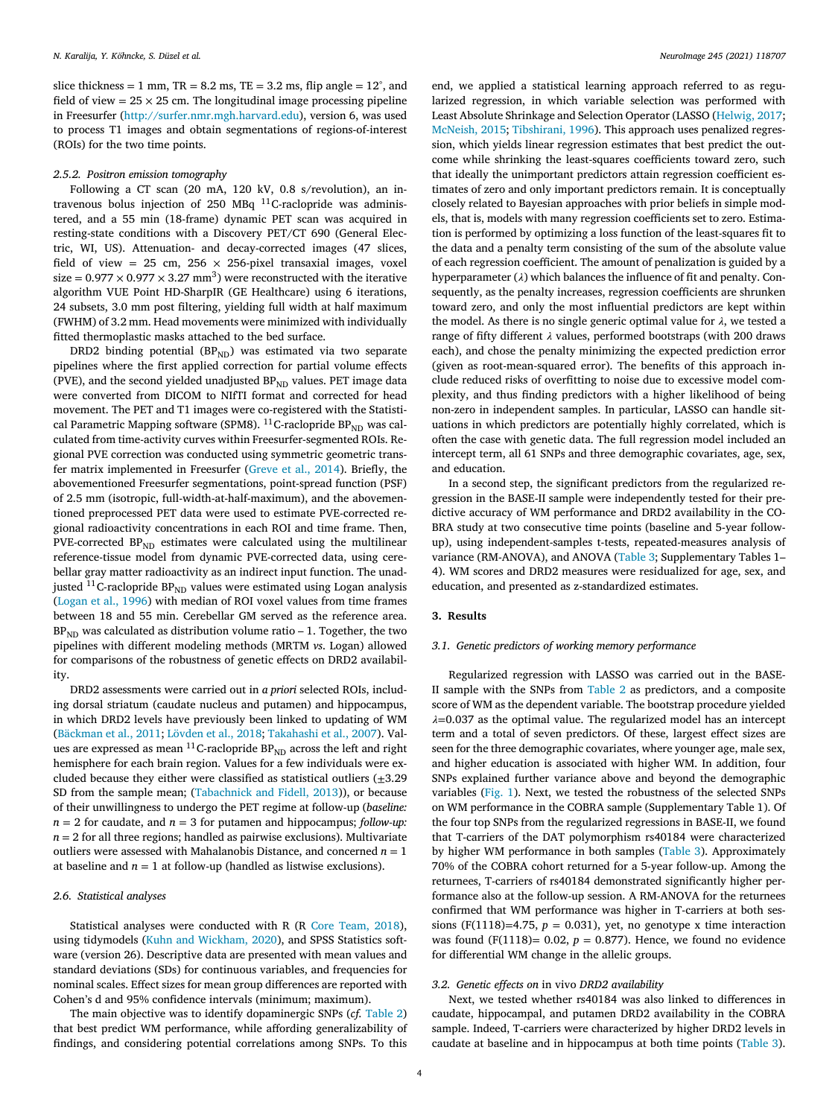slice thickness = 1 mm,  $TR = 8.2$  ms,  $TE = 3.2$  ms, flip angle =  $12^{\circ}$ , and field of view  $= 25 \times 25$  cm. The longitudinal image processing pipeline in Freesurfer [\(http://surfer.nmr.mgh.harvard.edu\)](http://surfer.nmr.mgh.harvard.edu), version 6, was used to process T1 images and obtain segmentations of regions-of-interest (ROIs) for the two time points.

#### *2.5.2. Positron emission tomography*

Following a CT scan (20 mA, 120 kV, 0.8 s/revolution), an intravenous bolus injection of 250 MBq 11C-raclopride was administered, and a 55 min (18-frame) dynamic PET scan was acquired in resting-state conditions with a Discovery PET/CT 690 (General Electric, WI, US). Attenuation- and decay-corrected images (47 slices, field of view = 25 cm, 256  $\times$  256-pixel transaxial images, voxel size =  $0.977 \times 0.977 \times 3.27$  mm<sup>3</sup>) were reconstructed with the iterative algorithm VUE Point HD-SharpIR (GE Healthcare) using 6 iterations, 24 subsets, 3.0 mm post filtering, yielding full width at half maximum (FWHM) of 3.2 mm. Head movements were minimized with individually fitted thermoplastic masks attached to the bed surface.

DRD2 binding potential ( $BP_{ND}$ ) was estimated via two separate pipelines where the first applied correction for partial volume effects (PVE), and the second yielded unadjusted  $BP_{ND}$  values. PET image data were converted from DICOM to NIfTI format and corrected for head movement. The PET and T1 images were co-registered with the Statistical Parametric Mapping software (SPM8).  $^{11}$ C-raclopride BP<sub>ND</sub> was calculated from time-activity curves within Freesurfer-segmented ROIs. Regional PVE correction was conducted using symmetric geometric transfer matrix implemented in Freesurfer [\(Greve](#page-6-0) et al., 2014). Briefly, the abovementioned Freesurfer segmentations, point-spread function (PSF) of 2.5 mm (isotropic, full-width-at-half-maximum), and the abovementioned preprocessed PET data were used to estimate PVE-corrected regional radioactivity concentrations in each ROI and time frame. Then, PVE-corrected  $BP_{ND}$  estimates were calculated using the multilinear reference-tissue model from dynamic PVE-corrected data, using cerebellar gray matter radioactivity as an indirect input function. The unadjusted  $^{11}$ C-raclopride BP<sub>ND</sub> values were estimated using Logan analysis [\(Logan](#page-6-0) et al., 1996) with median of ROI voxel values from time frames between 18 and 55 min. Cerebellar GM served as the reference area.  $BP<sub>ND</sub>$  was calculated as distribution volume ratio – 1. Together, the two pipelines with different modeling methods (MRTM *vs*. Logan) allowed for comparisons of the robustness of genetic effects on DRD2 availability.

DRD2 assessments were carried out in *a priori* selected ROIs, including dorsal striatum (caudate nucleus and putamen) and hippocampus, in which DRD2 levels have previously been linked to updating of WM [\(Bäckman](#page-6-0) et al., 2011; [Lövden](#page-6-0) et al., 2018; [Takahashi](#page-7-0) et al., 2007). Values are expressed as mean  $^{11}$  C-raclopride  $\rm BP_{ND}$  across the left and right hemisphere for each brain region. Values for a few individuals were excluded because they either were classified as statistical outliers  $(\pm 3.29)$ SD from the sample mean; [\(Tabachnick](#page-7-0) and Fidell, 2013)), or because of their unwillingness to undergo the PET regime at follow-up (*baseline:*  $n = 2$  for caudate, and  $n = 3$  for putamen and hippocampus; *follow-up*:  $n = 2$  for all three regions; handled as pairwise exclusions). Multivariate outliers were assessed with Mahalanobis Distance, and concerned  $n = 1$ at baseline and  $n = 1$  at follow-up (handled as listwise exclusions).

#### *2.6. Statistical analyses*

Statistical analyses were conducted with R (R Core [Team,](#page-7-0) 2018), using tidymodels (Kuhn and [Wickham,](#page-6-0) 2020), and SPSS Statistics software (version 26). Descriptive data are presented with mean values and standard deviations (SDs) for continuous variables, and frequencies for nominal scales. Effect sizes for mean group differences are reported with Cohen's d and 95% confidence intervals (minimum; maximum).

The main objective was to identify dopaminergic SNPs (*cf.* [Table](#page-2-0) 2) that best predict WM performance, while affording generalizability of findings, and considering potential correlations among SNPs. To this end, we applied a statistical learning approach referred to as regularized regression, in which variable selection was performed with Least Absolute Shrinkage and Selection Operator (LASSO [\(Helwig,](#page-6-0) 2017; [McNeish,](#page-6-0) 2015; [Tibshirani,](#page-7-0) 1996). This approach uses penalized regression, which yields linear regression estimates that best predict the outcome while shrinking the least-squares coefficients toward zero, such that ideally the unimportant predictors attain regression coefficient estimates of zero and only important predictors remain. It is conceptually closely related to Bayesian approaches with prior beliefs in simple models, that is, models with many regression coefficients set to zero. Estimation is performed by optimizing a loss function of the least-squares fit to the data and a penalty term consisting of the sum of the absolute value of each regression coefficient. The amount of penalization is guided by a hyperparameter  $(\lambda)$  which balances the influence of fit and penalty. Consequently, as the penalty increases, regression coefficients are shrunken toward zero, and only the most influential predictors are kept within the model. As there is no single generic optimal value for  $\lambda$ , we tested a range of fifty different  $\lambda$  values, performed bootstraps (with 200 draws each), and chose the penalty minimizing the expected prediction error (given as root-mean-squared error). The benefits of this approach include reduced risks of overfitting to noise due to excessive model complexity, and thus finding predictors with a higher likelihood of being non-zero in independent samples. In particular, LASSO can handle situations in which predictors are potentially highly correlated, which is often the case with genetic data. The full regression model included an intercept term, all 61 SNPs and three demographic covariates, age, sex, and education.

In a second step, the significant predictors from the regularized regression in the BASE-II sample were independently tested for their predictive accuracy of WM performance and DRD2 availability in the CO-BRA study at two consecutive time points (baseline and 5-year followup), using independent-samples t-tests, repeated-measures analysis of variance (RM-ANOVA), and ANOVA [\(Table](#page-4-0) 3; Supplementary Tables 1– 4). WM scores and DRD2 measures were residualized for age, sex, and education, and presented as z-standardized estimates.

#### **3. Results**

#### *3.1. Genetic predictors of working memory performance*

Regularized regression with LASSO was carried out in the BASE-II sample with the SNPs from [Table](#page-2-0) 2 as predictors, and a composite score of WM as the dependent variable. The bootstrap procedure yielded  $\lambda$ =0.037 as the optimal value. The regularized model has an intercept term and a total of seven predictors. Of these, largest effect sizes are seen for the three demographic covariates, where younger age, male sex, and higher education is associated with higher WM. In addition, four SNPs explained further variance above and beyond the demographic variables [\(Fig.](#page-4-0) 1). Next, we tested the robustness of the selected SNPs on WM performance in the COBRA sample (Supplementary Table 1). Of the four top SNPs from the regularized regressions in BASE-II, we found that T-carriers of the DAT polymorphism rs40184 were characterized by higher WM performance in both samples [\(Table](#page-4-0) 3). Approximately 70% of the COBRA cohort returned for a 5-year follow-up. Among the returnees, T-carriers of rs40184 demonstrated significantly higher performance also at the follow-up session. A RM-ANOVA for the returnees confirmed that WM performance was higher in T-carriers at both sessions (F(1118)=4.75,  $p = 0.031$ ), yet, no genotype x time interaction was found (F(1118)=  $0.02$ ,  $p = 0.877$ ). Hence, we found no evidence for differential WM change in the allelic groups.

#### *3.2. Genetic effects on* in vivo *DRD2 availability*

Next, we tested whether rs40184 was also linked to differences in caudate, hippocampal, and putamen DRD2 availability in the COBRA sample. Indeed, T-carriers were characterized by higher DRD2 levels in caudate at baseline and in hippocampus at both time points [\(Table](#page-4-0) 3).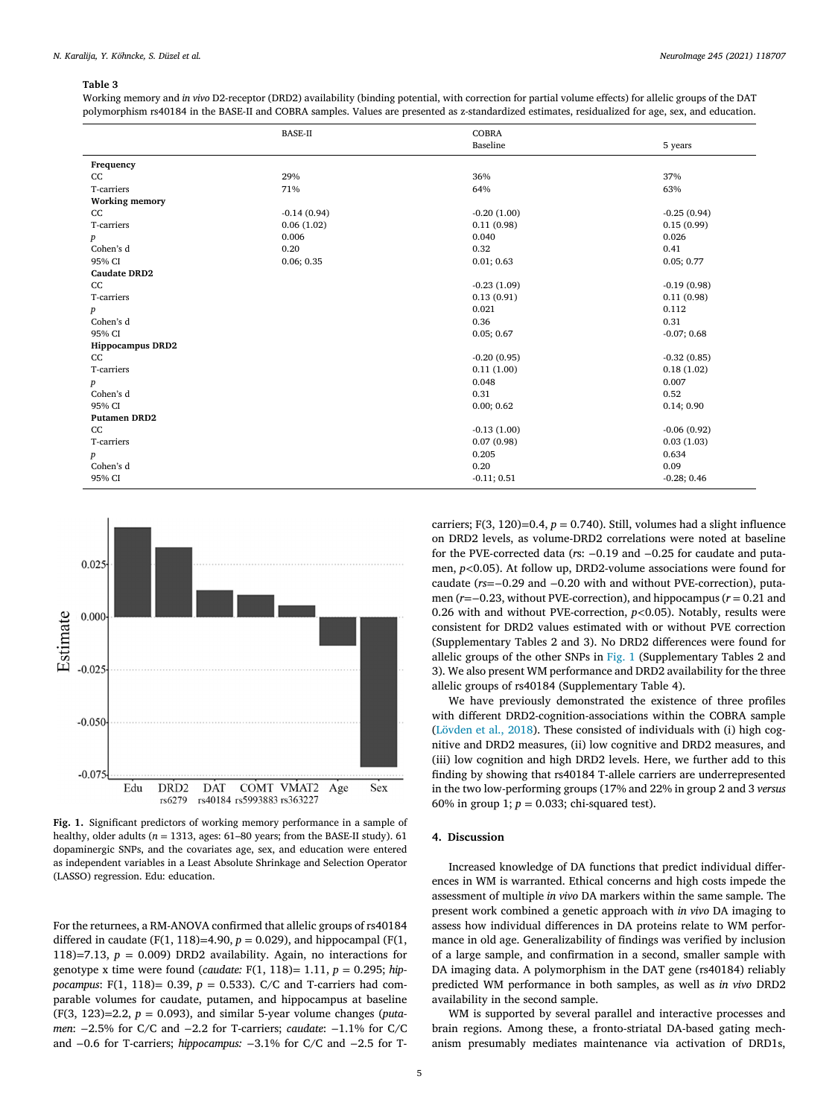#### <span id="page-4-0"></span>**Table 3**

Working memory and *in vivo* D2-receptor (DRD2) availability (binding potential, with correction for partial volume effects) for allelic groups of the DAT polymorphism rs40184 in the BASE-II and COBRA samples. Values are presented as z-standardized estimates, residualized for age, sex, and education.

|                         | <b>BASE-II</b> | <b>COBRA</b>  |               |
|-------------------------|----------------|---------------|---------------|
|                         |                | Baseline      | 5 years       |
| Frequency               |                |               |               |
| cc                      | 29%            | 36%           | 37%           |
| T-carriers              | 71%            | 64%           | 63%           |
| <b>Working memory</b>   |                |               |               |
| cc                      | $-0.14(0.94)$  | $-0.20(1.00)$ | $-0.25(0.94)$ |
| T-carriers              | 0.06(1.02)     | 0.11(0.98)    | 0.15(0.99)    |
| $\boldsymbol{p}$        | 0.006          | 0.040         | 0.026         |
| Cohen's d               | 0.20           | 0.32          | 0.41          |
| 95% CI                  | 0.06; 0.35     | 0.01; 0.63    | 0.05; 0.77    |
| <b>Caudate DRD2</b>     |                |               |               |
| CC                      |                | $-0.23(1.09)$ | $-0.19(0.98)$ |
| T-carriers              |                | 0.13(0.91)    | 0.11(0.98)    |
| $\boldsymbol{p}$        |                | 0.021         | 0.112         |
| Cohen's d               |                | 0.36          | 0.31          |
| 95% CI                  |                | 0.05; 0.67    | $-0.07; 0.68$ |
| <b>Hippocampus DRD2</b> |                |               |               |
| CC                      |                | $-0.20(0.95)$ | $-0.32(0.85)$ |
| T-carriers              |                | 0.11(1.00)    | 0.18(1.02)    |
| $\boldsymbol{p}$        |                | 0.048         | 0.007         |
| Cohen's d               |                | 0.31          | 0.52          |
| 95% CI                  |                | 0.00; 0.62    | 0.14; 0.90    |
| <b>Putamen DRD2</b>     |                |               |               |
| cc                      |                | $-0.13(1.00)$ | $-0.06(0.92)$ |
| T-carriers              |                | 0.07(0.98)    | 0.03(1.03)    |
| $\boldsymbol{p}$        |                | 0.205         | 0.634         |
| Cohen's d               |                | 0.20          | 0.09          |
| 95% CI                  |                | $-0.11; 0.51$ | $-0.28; 0.46$ |
|                         |                |               |               |



**Fig. 1.** Significant predictors of working memory performance in a sample of healthy, older adults ( $n = 1313$ , ages: 61–80 years; from the BASE-II study). 61 dopaminergic SNPs, and the covariates age, sex, and education were entered as independent variables in a Least Absolute Shrinkage and Selection Operator (LASSO) regression. Edu: education.

For the returnees, a RM-ANOVA confirmed that allelic groups of rs40184 differed in caudate (F(1, 118)=4.90,  $p = 0.029$ ), and hippocampal (F(1, 118)=7.13,  $p = 0.009$ ) DRD2 availability. Again, no interactions for genotype x time were found (*caudate:* F(1, 118)= 1.11, *p* = 0.295; *hippocampus*: F(1, 118)= 0.39, *p* = 0.533). C/C and T-carriers had comparable volumes for caudate, putamen, and hippocampus at baseline (F(3, 123)=2.2, *p* = 0.093), and similar 5-year volume changes (*putamen*: −2.5% for C/C and −2.2 for T-carriers; *caudate*: −1.1% for C/C and −0.6 for T-carriers; *hippocampus:* −3.1% for C/C and −2.5 for T-

carriers; F(3, 120)=0.4,  $p = 0.740$ ). Still, volumes had a slight influence on DRD2 levels, as volume-DRD2 correlations were noted at baseline for the PVE-corrected data (*r*s: −0.19 and −0.25 for caudate and putamen, *p<*0.05). At follow up, DRD2-volume associations were found for caudate (*rs*=−0.29 and −0.20 with and without PVE-correction), putamen (*r*=−0.23, without PVE-correction), and hippocampus (*r* = 0.21 and 0.26 with and without PVE-correction, *p<*0.05). Notably, results were consistent for DRD2 values estimated with or without PVE correction (Supplementary Tables 2 and 3). No DRD2 differences were found for allelic groups of the other SNPs in Fig. 1 (Supplementary Tables 2 and 3). We also present WM performance and DRD2 availability for the three allelic groups of rs40184 (Supplementary Table 4).

We have previously demonstrated the existence of three profiles with different DRD2-cognition-associations within the COBRA sample [\(Lövden](#page-6-0) et al., 2018). These consisted of individuals with (i) high cognitive and DRD2 measures, (ii) low cognitive and DRD2 measures, and (iii) low cognition and high DRD2 levels. Here, we further add to this finding by showing that rs40184 T-allele carriers are underrepresented in the two low-performing groups (17% and 22% in group 2 and 3 *versus* 60% in group 1;  $p = 0.033$ ; chi-squared test).

## **4. Discussion**

Increased knowledge of DA functions that predict individual differences in WM is warranted. Ethical concerns and high costs impede the assessment of multiple *in vivo* DA markers within the same sample. The present work combined a genetic approach with *in vivo* DA imaging to assess how individual differences in DA proteins relate to WM performance in old age. Generalizability of findings was verified by inclusion of a large sample, and confirmation in a second, smaller sample with DA imaging data. A polymorphism in the DAT gene (rs40184) reliably predicted WM performance in both samples, as well as *in vivo* DRD2 availability in the second sample.

WM is supported by several parallel and interactive processes and brain regions. Among these, a fronto-striatal DA-based gating mechanism presumably mediates maintenance via activation of DRD1s,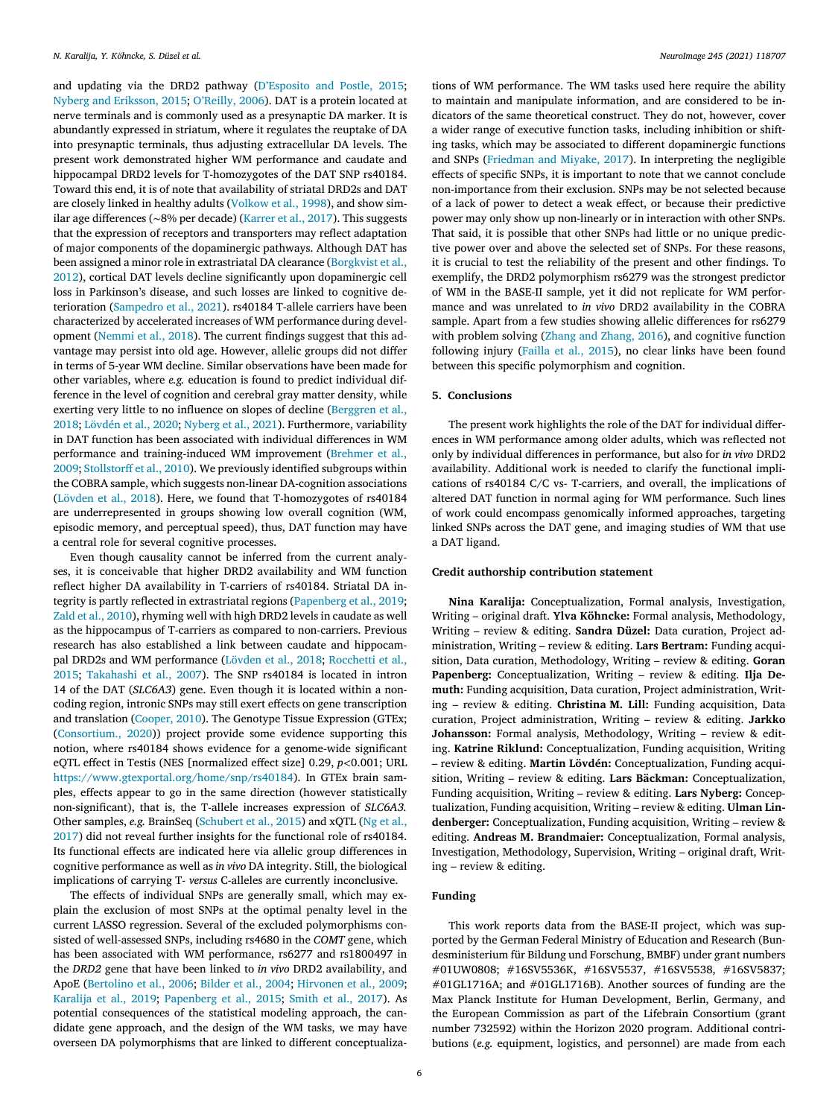and updating via the DRD2 pathway [\(D'Esposito](#page-6-0) and Postle, 2015; Nyberg and [Eriksson,](#page-6-0) 2015; [O'Reilly,](#page-7-0) 2006). DAT is a protein located at nerve terminals and is commonly used as a presynaptic DA marker. It is abundantly expressed in striatum, where it regulates the reuptake of DA into presynaptic terminals, thus adjusting extracellular DA levels. The present work demonstrated higher WM performance and caudate and hippocampal DRD2 levels for T-homozygotes of the DAT SNP rs40184. Toward this end, it is of note that availability of striatal DRD2s and DAT are closely linked in healthy adults [\(Volkow](#page-7-0) et al., 1998), and show similar age differences (∼8% per decade) [\(Karrer](#page-6-0) et al., 2017). This suggests that the expression of receptors and transporters may reflect adaptation of major components of the dopaminergic pathways. Although DAT has been assigned a minor role in extrastriatal DA clearance (Borgkvist et al., 2012), cortical DAT levels decline significantly upon [dopaminergic](#page-6-0) cell loss in Parkinson's disease, and such losses are linked to cognitive deterioration [\(Sampedro](#page-7-0) et al., 2021). rs40184 T-allele carriers have been characterized by accelerated increases of WM performance during development [\(Nemmi](#page-6-0) et al., 2018). The current findings suggest that this advantage may persist into old age. However, allelic groups did not differ in terms of 5-year WM decline. Similar observations have been made for other variables, where *e.g.* education is found to predict individual difference in the level of cognition and cerebral gray matter density, while exerting very little to no influence on slopes of decline (Berggren et al., 2018; [Lövdén](#page-6-0) et al., 2020; [Nyberg](#page-7-0) et al., 2021). [Furthermore,](#page-6-0) variability in DAT function has been associated with individual differences in WM performance and [training-induced](#page-6-0) WM improvement (Brehmer et al., 2009; [Stollstorff et](#page-7-0) al., 2010). We previously identified subgroups within the COBRA sample, which suggests non-linear DA-cognition associations [\(Lövden](#page-6-0) et al., 2018). Here, we found that T-homozygotes of rs40184 are underrepresented in groups showing low overall cognition (WM, episodic memory, and perceptual speed), thus, DAT function may have a central role for several cognitive processes.

Even though causality cannot be inferred from the current analyses, it is conceivable that higher DRD2 availability and WM function reflect higher DA availability in T-carriers of rs40184. Striatal DA integrity is partly reflected in extrastriatal regions [\(Papenberg](#page-7-0) et al., 2019; Zald et al., [2010\)](#page-7-0), rhyming well with high DRD2 levels in caudate as well as the hippocampus of T-carriers as compared to non-carriers. Previous research has also established a link between caudate and hippocampal DRD2s and WM [performance](#page-7-0) [\(Lövden](#page-6-0) et al., 2018; Rocchetti et al., 2015; [Takahashi](#page-7-0) et al., 2007). The SNP rs40184 is located in intron 14 of the DAT (*SLC6A3*) gene. Even though it is located within a noncoding region, intronic SNPs may still exert effects on gene transcription and translation [\(Cooper,](#page-6-0) 2010). The Genotype Tissue Expression (GTEx; [\(Consortium.,](#page-6-0) 2020)) project provide some evidence supporting this notion, where rs40184 shows evidence for a genome-wide significant eQTL effect in Testis (NES [normalized effect size] 0.29, *p<*0.001; URL [https://www.gtexportal.org/home/snp/rs40184\)](https://www.gtexportal.org/home/snp/rs40184). In GTEx brain samples, effects appear to go in the same direction (however statistically non-significant), that is, the T-allele increases expression of *SLC6A3.* Other samples, *e.g.* BrainSeq [\(Schubert](#page-7-0) et al., 2015) and xQTL (Ng et al., 2017) did not reveal further insights for the [functional](#page-6-0) role of rs40184. Its functional effects are indicated here via allelic group differences in cognitive performance as well as *in vivo* DA integrity. Still, the biological implications of carrying T- *versus* C-alleles are currently inconclusive.

The effects of individual SNPs are generally small, which may explain the exclusion of most SNPs at the optimal penalty level in the current LASSO regression. Several of the excluded polymorphisms consisted of well-assessed SNPs, including rs4680 in the *COMT* gene, which has been associated with WM performance, rs6277 and rs1800497 in the *DRD2* gene that have been linked to *in vivo* DRD2 availability, and ApoE [\(Bertolino](#page-6-0) et al., 2006; [Bilder](#page-6-0) et al., 2004; [Hirvonen](#page-6-0) et al., 2009; [Karalija](#page-6-0) et al., 2019; [Papenberg](#page-7-0) et al., 2015; [Smith](#page-7-0) et al., 2017). As potential consequences of the statistical modeling approach, the candidate gene approach, and the design of the WM tasks, we may have overseen DA polymorphisms that are linked to different conceptualiza-

tions of WM performance. The WM tasks used here require the ability to maintain and manipulate information, and are considered to be indicators of the same theoretical construct. They do not, however, cover a wider range of executive function tasks, including inhibition or shifting tasks, which may be associated to different dopaminergic functions and SNPs [\(Friedman](#page-6-0) and Miyake, 2017). In interpreting the negligible effects of specific SNPs, it is important to note that we cannot conclude non-importance from their exclusion. SNPs may be not selected because of a lack of power to detect a weak effect, or because their predictive power may only show up non-linearly or in interaction with other SNPs. That said, it is possible that other SNPs had little or no unique predictive power over and above the selected set of SNPs. For these reasons, it is crucial to test the reliability of the present and other findings. To exemplify, the DRD2 polymorphism rs6279 was the strongest predictor of WM in the BASE-II sample, yet it did not replicate for WM performance and was unrelated to *in vivo* DRD2 availability in the COBRA sample. Apart from a few studies showing allelic differences for rs6279 with problem solving (Zhang and [Zhang,](#page-7-0) 2016), and cognitive function following injury [\(Failla](#page-6-0) et al., 2015), no clear links have been found between this specific polymorphism and cognition.

#### **5. Conclusions**

The present work highlights the role of the DAT for individual differences in WM performance among older adults, which was reflected not only by individual differences in performance, but also for *in vivo* DRD2 availability. Additional work is needed to clarify the functional implications of rs40184 C/C vs- T-carriers, and overall, the implications of altered DAT function in normal aging for WM performance. Such lines of work could encompass genomically informed approaches, targeting linked SNPs across the DAT gene, and imaging studies of WM that use a DAT ligand.

#### **Credit authorship contribution statement**

**Nina Karalija:** Conceptualization, Formal analysis, Investigation, Writing – original draft. **Ylva Köhncke:** Formal analysis, Methodology, Writing – review & editing. **Sandra Düzel:** Data curation, Project administration, Writing – review & editing. **Lars Bertram:** Funding acquisition, Data curation, Methodology, Writing – review & editing. **Goran Papenberg:** Conceptualization, Writing – review & editing. **Ilja Demuth:** Funding acquisition, Data curation, Project administration, Writing – review & editing. **Christina M. Lill:** Funding acquisition, Data curation, Project administration, Writing – review & editing. **Jarkko Johansson:** Formal analysis, Methodology, Writing – review & editing. **Katrine Riklund:** Conceptualization, Funding acquisition, Writing – review & editing. **Martin Lövdén:** Conceptualization, Funding acquisition, Writing – review & editing. **Lars Bäckman:** Conceptualization, Funding acquisition, Writing – review & editing. **Lars Nyberg:** Conceptualization, Funding acquisition, Writing – review & editing. **Ulman Lindenberger:** Conceptualization, Funding acquisition, Writing – review & editing. **Andreas M. Brandmaier:** Conceptualization, Formal analysis, Investigation, Methodology, Supervision, Writing – original draft, Writing – review & editing.

### **Funding**

This work reports data from the BASE-II project, which was supported by the German Federal Ministry of Education and Research (Bundesministerium für Bildung und Forschung, BMBF) under grant numbers #01UW0808; #16SV5536K, #16SV5537, #16SV5538, #16SV5837; #01GL1716A; and #01GL1716B). Another sources of funding are the Max Planck Institute for Human Development, Berlin, Germany, and the European Commission as part of the Lifebrain Consortium (grant number 732592) within the Horizon 2020 program. Additional contributions (*e.g.* equipment, logistics, and personnel) are made from each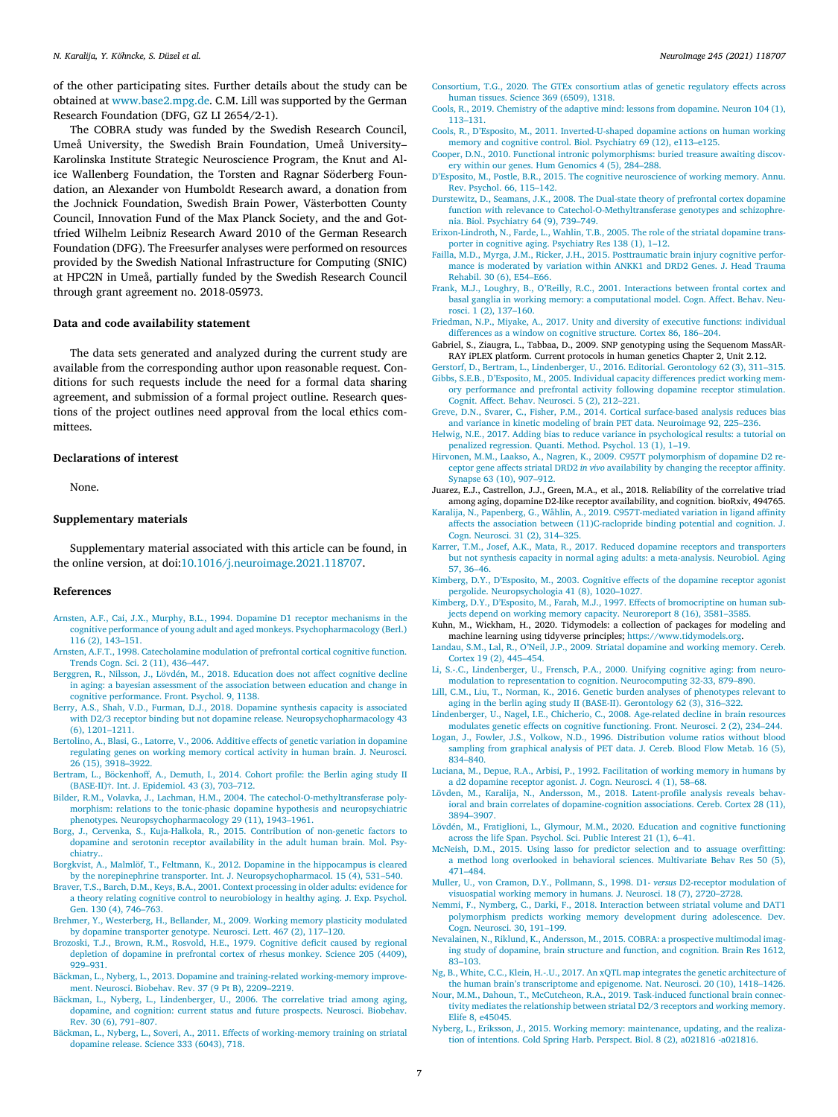<span id="page-6-0"></span>of the other participating sites. Further details about the study can be obtained at [www.base2.mpg.de.](http://www.base2.mpg.de) C.M. Lill was supported by the German Research Foundation (DFG, GZ LI 2654/2-1).

The COBRA study was funded by the Swedish Research Council, Umeå University, the Swedish Brain Foundation, Umeå University– Karolinska Institute Strategic Neuroscience Program, the Knut and Alice Wallenberg Foundation, the Torsten and Ragnar Söderberg Foundation, an Alexander von Humboldt Research award, a donation from the Jochnick Foundation, Swedish Brain Power, Västerbotten County Council, Innovation Fund of the Max Planck Society, and the and Gottfried Wilhelm Leibniz Research Award 2010 of the German Research Foundation (DFG). The Freesurfer analyses were performed on resources provided by the Swedish National Infrastructure for Computing (SNIC) at HPC2N in Umeå, partially funded by the Swedish Research Council through grant agreement no. 2018-05973.

#### **Data and code availability statement**

The data sets generated and analyzed during the current study are available from the corresponding author upon reasonable request. Conditions for such requests include the need for a formal data sharing agreement, and submission of a formal project outline. Research questions of the project outlines need approval from the local ethics committees.

#### **Declarations of interest**

None.

#### **Supplementary materials**

Supplementary material associated with this article can be found, in the online version, at doi[:10.1016/j.neuroimage.2021.118707.](https://doi.org/10.1016/j.neuroimage.2021.118707)

#### **References**

- [Arnsten,](http://refhub.elsevier.com/S1053-8119(21)00979-4/sbref0001) A.F., Cai, [J.X.,](http://refhub.elsevier.com/S1053-8119(21)00979-4/sbref0001) [Murphy,](http://refhub.elsevier.com/S1053-8119(21)00979-4/sbref0001) B.L., 1994. Dopamine D1 receptor mechanisms in the cognitive performance of young adult and aged monkeys. [Psychopharmacology](http://refhub.elsevier.com/S1053-8119(21)00979-4/sbref0001) (Berl.) 116 (2), 143–151.
- [Arnsten,](http://refhub.elsevier.com/S1053-8119(21)00979-4/sbref0002) A.F.T., 1998. [Catecholamine](http://refhub.elsevier.com/S1053-8119(21)00979-4/sbref0002) modulation of prefrontal cortical cognitive function. Trends Cogn. Sci. 2 (11), 436–447.
- [Berggren,](http://refhub.elsevier.com/S1053-8119(21)00979-4/sbref0003) R., [Nilsson,](http://refhub.elsevier.com/S1053-8119(21)00979-4/sbref0003) J., [Lövdén,](http://refhub.elsevier.com/S1053-8119(21)00979-4/sbref0003) M., 2018. Education does not affect cognitive decline in aging: a bayesian assessment of the association between education and change in cognitive [performance.](http://refhub.elsevier.com/S1053-8119(21)00979-4/sbref0003) Front. Psychol. 9, 1138.
- [Berry,](http://refhub.elsevier.com/S1053-8119(21)00979-4/sbref0004) A.S., [Shah,](http://refhub.elsevier.com/S1053-8119(21)00979-4/sbref0004) V.D., [Furman,](http://refhub.elsevier.com/S1053-8119(21)00979-4/sbref0004) D.J., 2018. Dopamine synthesis capacity is associated with D2/3 receptor binding but not dopamine release. [Neuropsychopharmacology](http://refhub.elsevier.com/S1053-8119(21)00979-4/sbref0004) 43 (6), 1201–1211.
- [Bertolino,](http://refhub.elsevier.com/S1053-8119(21)00979-4/sbref0005) A., [Blasi,](http://refhub.elsevier.com/S1053-8119(21)00979-4/sbref0005) G., [Latorre,](http://refhub.elsevier.com/S1053-8119(21)00979-4/sbref0005) V., 2006. Additive effects of genetic variation in dopamine regulating genes on working memory cortical activity in human brain. J. Neurosci. 26 (15), [3918–3922.](http://refhub.elsevier.com/S1053-8119(21)00979-4/sbref0005)
- [Bertram,](http://refhub.elsevier.com/S1053-8119(21)00979-4/sbref0006) L., [Böckenhoff,](http://refhub.elsevier.com/S1053-8119(21)00979-4/sbref0006) A., [Demuth,](http://refhub.elsevier.com/S1053-8119(21)00979-4/sbref0006) I., 2014. Cohort profile: the Berlin aging study II (BASE-II)†. Int. J. Epidemiol. 43 (3), 703–712.
- [Bilder,](http://refhub.elsevier.com/S1053-8119(21)00979-4/sbref0007) R.M., [Volavka,](http://refhub.elsevier.com/S1053-8119(21)00979-4/sbref0007) J., [Lachman,](http://refhub.elsevier.com/S1053-8119(21)00979-4/sbref0007) H.M., 2004. The [catechol-O-methyltransferase](http://refhub.elsevier.com/S1053-8119(21)00979-4/sbref0007) polymorphism: relations to the tonic-phasic dopamine hypothesis and neuropsychiatric phenotypes. Neuropsychopharmacology 29 (11), 1943–1961.
- [Borg,](http://refhub.elsevier.com/S1053-8119(21)00979-4/sbref0008) J., [Cervenka,](http://refhub.elsevier.com/S1053-8119(21)00979-4/sbref0008) S., [Kuja-Halkola,](http://refhub.elsevier.com/S1053-8119(21)00979-4/sbref0008) R., 2015. Contribution of non-genetic factors to dopamine and serotonin receptor availability in the adult human brain. Mol. Psychiatry..
- [Borgkvist,](http://refhub.elsevier.com/S1053-8119(21)00979-4/sbref0009) A., [Malmlöf,](http://refhub.elsevier.com/S1053-8119(21)00979-4/sbref0009) T., [Feltmann,](http://refhub.elsevier.com/S1053-8119(21)00979-4/sbref0009) K., 2012. Dopamine in the hippocampus is cleared by the norepinephrine transporter. Int. J. [Neuropsychopharmacol.](http://refhub.elsevier.com/S1053-8119(21)00979-4/sbref0009) 15 (4), 531–540.
- [Braver,](http://refhub.elsevier.com/S1053-8119(21)00979-4/sbref0010) T.S., [Barch,](http://refhub.elsevier.com/S1053-8119(21)00979-4/sbref0010) D.M., [Keys,](http://refhub.elsevier.com/S1053-8119(21)00979-4/sbref0010) B.A., 2001. Context processing in older adults: evidence for a theory relating cognitive control to [neurobiology](http://refhub.elsevier.com/S1053-8119(21)00979-4/sbref0010) in healthy aging. J. Exp. Psychol. Gen. 130 (4), 746–763.
- [Brehmer,](http://refhub.elsevier.com/S1053-8119(21)00979-4/sbref0011) Y., [Westerberg,](http://refhub.elsevier.com/S1053-8119(21)00979-4/sbref0011) H., [Bellander,](http://refhub.elsevier.com/S1053-8119(21)00979-4/sbref0011) M., 2009. Working memory plasticity modulated by dopamine transporter genotype. Neurosci. Lett. 467 (2), 117–120.
- [Brozoski,](http://refhub.elsevier.com/S1053-8119(21)00979-4/sbref0012) T.J., [Brown,](http://refhub.elsevier.com/S1053-8119(21)00979-4/sbref0012) R.M., [Rosvold,](http://refhub.elsevier.com/S1053-8119(21)00979-4/sbref0012) H.E., 1979. Cognitive deficit caused by regional depletion of dopamine in [prefrontal](http://refhub.elsevier.com/S1053-8119(21)00979-4/sbref0012) cortex of rhesus monkey. Science 205 (4409),  $929 - 931$
- [Bäckman,](http://refhub.elsevier.com/S1053-8119(21)00979-4/sbref0013) L., [Nyberg,](http://refhub.elsevier.com/S1053-8119(21)00979-4/sbref0013) L., 2013. Dopamine and training-related [working-memory](http://refhub.elsevier.com/S1053-8119(21)00979-4/sbref0013) improvement. Neurosci. Biobehav. Rev. 37 (9 Pt B), 2209–2219.
- [Bäckman,](http://refhub.elsevier.com/S1053-8119(21)00979-4/sbref0014) L., [Nyberg,](http://refhub.elsevier.com/S1053-8119(21)00979-4/sbref0014) L., [Lindenberger,](http://refhub.elsevier.com/S1053-8119(21)00979-4/sbref0014) U., 2006. The correlative triad among aging, dopamine, and cognition: current status and future prospects. Neurosci. Biobehav. Rev. 30 (6), 791–807.
- [Bäckman,](http://refhub.elsevier.com/S1053-8119(21)00979-4/sbref0015) L., [Nyberg,](http://refhub.elsevier.com/S1053-8119(21)00979-4/sbref0015) L., [Soveri,](http://refhub.elsevier.com/S1053-8119(21)00979-4/sbref0015) A., 2011. Effects of [working-memory](http://refhub.elsevier.com/S1053-8119(21)00979-4/sbref0015) training on striatal dopamine release. Science 333 (6043), 718.
- [Consortium,](http://refhub.elsevier.com/S1053-8119(21)00979-4/sbref0016) T.G., 2020. The GTEx [consortium](http://refhub.elsevier.com/S1053-8119(21)00979-4/sbref0016) atlas of genetic regulatory effects across human tissues. Science 369 (6509), 1318.
- [Cools,](http://refhub.elsevier.com/S1053-8119(21)00979-4/sbref0017) R., 2019. Chemistry of the adaptive mind: lessons from [dopamine.](http://refhub.elsevier.com/S1053-8119(21)00979-4/sbref0017) Neuron 104 (1), 113–131.
- [Cools,](http://refhub.elsevier.com/S1053-8119(21)00979-4/sbref0018) R., [D'Esposito,](http://refhub.elsevier.com/S1053-8119(21)00979-4/sbref0018) M., 2011. [Inverted-U-shaped](http://refhub.elsevier.com/S1053-8119(21)00979-4/sbref0018) dopamine actions on human working memory and cognitive control. Biol. Psychiatry 69 (12), e113–e125.
- [Cooper,](http://refhub.elsevier.com/S1053-8119(21)00979-4/sbref0019) D.N., 2010. Functional intronic [polymorphisms:](http://refhub.elsevier.com/S1053-8119(21)00979-4/sbref0019) buried treasure awaiting discovery within our genes. Hum Genomics 4 (5), 284–288. [D'Esposito,](http://refhub.elsevier.com/S1053-8119(21)00979-4/sbref0020) M., [Postle,](http://refhub.elsevier.com/S1053-8119(21)00979-4/sbref0020) B.R., 2015. The cognitive [neuroscience](http://refhub.elsevier.com/S1053-8119(21)00979-4/sbref0020) of working memory. Annu.
- Rev. Psychol. 66, 115–142.
- [Durstewitz,](http://refhub.elsevier.com/S1053-8119(21)00979-4/sbref0021) D., [Seamans,](http://refhub.elsevier.com/S1053-8119(21)00979-4/sbref0021) J.K., 2008. The Dual-state theory of prefrontal cortex dopamine function with relevance to [Catechol-O-Methyltransferase](http://refhub.elsevier.com/S1053-8119(21)00979-4/sbref0021) genotypes and schizophrenia. Biol. Psychiatry 64 (9), 739–749.
- [Erixon-Lindroth,](http://refhub.elsevier.com/S1053-8119(21)00979-4/sbref0022) N., [Farde,](http://refhub.elsevier.com/S1053-8119(21)00979-4/sbref0022) L., [Wahlin,](http://refhub.elsevier.com/S1053-8119(21)00979-4/sbref0022) T.B., 2005. The role of the striatal dopamine transporter in cognitive aging. Psychiatry Res 138 (1), 1–12.
- [Failla,](http://refhub.elsevier.com/S1053-8119(21)00979-4/sbref0023) M.D., [Myrga,](http://refhub.elsevier.com/S1053-8119(21)00979-4/sbref0023) J.M., [Ricker,](http://refhub.elsevier.com/S1053-8119(21)00979-4/sbref0023) J.H., 2015. [Posttraumatic](http://refhub.elsevier.com/S1053-8119(21)00979-4/sbref0023) brain injury cognitive performance is moderated by variation within ANKK1 and DRD2 Genes. J. Head Trauma Rehabil. 30 (6), E54–E66.
- [Frank,](http://refhub.elsevier.com/S1053-8119(21)00979-4/sbref0024) M.J., [Loughry,](http://refhub.elsevier.com/S1053-8119(21)00979-4/sbref0024) B., [O'Reilly,](http://refhub.elsevier.com/S1053-8119(21)00979-4/sbref0024) R.C., 2001. Interactions between frontal cortex and basal ganglia in working memory: a [computational](http://refhub.elsevier.com/S1053-8119(21)00979-4/sbref0024) model. Cogn. Affect. Behav. Neurosci. 1 (2), 137–160.
- [Friedman,](http://refhub.elsevier.com/S1053-8119(21)00979-4/sbref0025) N.P., [Miyake,](http://refhub.elsevier.com/S1053-8119(21)00979-4/sbref0025) A., 2017. Unity and diversity of executive functions: individual [differences](http://refhub.elsevier.com/S1053-8119(21)00979-4/sbref0025) as a window on cognitive structure. Cortex 86, 186–204.
- Gabriel, S., Ziaugra, L., Tabbaa, D., 2009. SNP genotyping using the Sequenom MassAR-RAY iPLEX platform. Current protocols in human genetics Chapter 2, Unit 2.12.
- [Gerstorf,](http://refhub.elsevier.com/S1053-8119(21)00979-4/sbref0027) D., [Bertram,](http://refhub.elsevier.com/S1053-8119(21)00979-4/sbref0027) L., [Lindenberger,](http://refhub.elsevier.com/S1053-8119(21)00979-4/sbref0027) U., 2016. Editorial. [Gerontology](http://refhub.elsevier.com/S1053-8119(21)00979-4/sbref0027) 62 (3), 311–315. [Gibbs,](http://refhub.elsevier.com/S1053-8119(21)00979-4/sbref0028) S.E.B., [D'Esposito,](http://refhub.elsevier.com/S1053-8119(21)00979-4/sbref0028) M., 2005. Individual capacity differences predict working mem-
- ory [performance](http://refhub.elsevier.com/S1053-8119(21)00979-4/sbref0028) and prefrontal activity following dopamine receptor stimulation. Cognit. Affect. Behav. Neurosci. 5 (2), 212–221.
- [Greve,](http://refhub.elsevier.com/S1053-8119(21)00979-4/sbref0029) D.N., [Svarer,](http://refhub.elsevier.com/S1053-8119(21)00979-4/sbref0029) C., [Fisher,](http://refhub.elsevier.com/S1053-8119(21)00979-4/sbref0029) P.M., 2014. Cortical [surface-based](http://refhub.elsevier.com/S1053-8119(21)00979-4/sbref0029) analysis reduces bias and variance in kinetic modeling of brain PET data. Neuroimage 92, 225–236.
- [Helwig,](http://refhub.elsevier.com/S1053-8119(21)00979-4/sbref0030) N.E., 2017. Adding bias to reduce variance in [psychological](http://refhub.elsevier.com/S1053-8119(21)00979-4/sbref0030) results: a tutorial on penalized regression. Quanti. Method. Psychol. 13 (1), 1–19.
- [Hirvonen,](http://refhub.elsevier.com/S1053-8119(21)00979-4/sbref0031) M.M., [Laakso,](http://refhub.elsevier.com/S1053-8119(21)00979-4/sbref0031) A., [Nagren,](http://refhub.elsevier.com/S1053-8119(21)00979-4/sbref0031) K., 2009. C957T [polymorphism](http://refhub.elsevier.com/S1053-8119(21)00979-4/sbref0031) of dopamine D2 receptor gene affects striatal DRD2 *in vivo* availability by changing the receptor affinity. Synapse 63 (10), 907–912.
- Juarez, E.J., Castrellon, J.J., Green, M.A.*,* et al., 2018. Reliability of the correlative triad among aging, dopamine D2-like receptor availability, and cognition. bioRxiv, 494765.
- [Karalija,](http://refhub.elsevier.com/S1053-8119(21)00979-4/sbref0033) N., [Papenberg,](http://refhub.elsevier.com/S1053-8119(21)00979-4/sbref0033) G., [Wåhlin,](http://refhub.elsevier.com/S1053-8119(21)00979-4/sbref0033) A., 2019. [C957T-mediated](http://refhub.elsevier.com/S1053-8119(21)00979-4/sbref0033) variation in ligand affinity affects the association between (11)C-raclopride binding potential and cognition. J. Cogn. Neurosci. 31 (2), 314–325.
- [Karrer,](http://refhub.elsevier.com/S1053-8119(21)00979-4/sbref0034) T.M., [Josef,](http://refhub.elsevier.com/S1053-8119(21)00979-4/sbref0034) A.K., [Mata,](http://refhub.elsevier.com/S1053-8119(21)00979-4/sbref0034) R., 2017. Reduced dopamine receptors and transporters but not synthesis capacity in normal aging adults: a [meta-analysis.](http://refhub.elsevier.com/S1053-8119(21)00979-4/sbref0034) Neurobiol. Aging 57, 36–46.
- [Kimberg,](http://refhub.elsevier.com/S1053-8119(21)00979-4/sbref0035) D.Y., [D'Esposito,](http://refhub.elsevier.com/S1053-8119(21)00979-4/sbref0035) M., 2003. Cognitive effects of the dopamine receptor agonist pergolide. [Neuropsychologia](http://refhub.elsevier.com/S1053-8119(21)00979-4/sbref0035) 41 (8), 1020–1027.
- [Kimberg,](http://refhub.elsevier.com/S1053-8119(21)00979-4/sbref0036) D.Y., [D'Esposito,](http://refhub.elsevier.com/S1053-8119(21)00979-4/sbref0036) M., [Farah,](http://refhub.elsevier.com/S1053-8119(21)00979-4/sbref0036) M.J., 1997. Effects of [bromocriptine](http://refhub.elsevier.com/S1053-8119(21)00979-4/sbref0036) on human subjects depend on working memory capacity. Neuroreport 8 (16), 3581–3585.
- Kuhn, M., Wickham, H., 2020. Tidymodels: a collection of packages for modeling and machine learning using tidyverse principles; [https://www.tidymodels.org.](https://www.tidymodels.org)
- [Landau,](http://refhub.elsevier.com/S1053-8119(21)00979-4/sbref0038) S.M., [Lal,](http://refhub.elsevier.com/S1053-8119(21)00979-4/sbref0038) R., [O'Neil,](http://refhub.elsevier.com/S1053-8119(21)00979-4/sbref0038) J.P., 2009. Striatal [dopamine](http://refhub.elsevier.com/S1053-8119(21)00979-4/sbref0038) and working memory. Cereb. Cortex 19 (2), 445–454.
- Li, [S.-.C.,](http://refhub.elsevier.com/S1053-8119(21)00979-4/sbref0039) [Lindenberger,](http://refhub.elsevier.com/S1053-8119(21)00979-4/sbref0039) U., [Frensch,](http://refhub.elsevier.com/S1053-8119(21)00979-4/sbref0039) P.A., 2000. Unifying cognitive aging: from neuromodulation to representation to cognition. [Neurocomputing](http://refhub.elsevier.com/S1053-8119(21)00979-4/sbref0039) 32-33, 879–890.
- Lill, [C.M.,](http://refhub.elsevier.com/S1053-8119(21)00979-4/sbref0040) [Liu,](http://refhub.elsevier.com/S1053-8119(21)00979-4/sbref0040) T., [Norman,](http://refhub.elsevier.com/S1053-8119(21)00979-4/sbref0040) K., 2016. Genetic burden analyses of phenotypes relevant to aging in the berlin aging study II (BASE-II). [Gerontology](http://refhub.elsevier.com/S1053-8119(21)00979-4/sbref0040) 62 (3), 316–322.
- [Lindenberger,](http://refhub.elsevier.com/S1053-8119(21)00979-4/sbref0041) U., [Nagel,](http://refhub.elsevier.com/S1053-8119(21)00979-4/sbref0041) I.E., [Chicherio,](http://refhub.elsevier.com/S1053-8119(21)00979-4/sbref0041) C., 2008. Age-related decline in brain resources modulates genetic effects on cognitive [functioning.](http://refhub.elsevier.com/S1053-8119(21)00979-4/sbref0041) Front. Neurosci. 2 (2), 234–244.
- [Logan,](http://refhub.elsevier.com/S1053-8119(21)00979-4/sbref0042) J., [Fowler,](http://refhub.elsevier.com/S1053-8119(21)00979-4/sbref0042) J.S., [Volkow,](http://refhub.elsevier.com/S1053-8119(21)00979-4/sbref0042) N.D., 1996. [Distribution](http://refhub.elsevier.com/S1053-8119(21)00979-4/sbref0042) volume ratios without blood sampling from graphical analysis of PET data. J. Cereb. Blood Flow Metab. 16 (5), 834–840.
- [Luciana,](http://refhub.elsevier.com/S1053-8119(21)00979-4/sbref0043) M., [Depue,](http://refhub.elsevier.com/S1053-8119(21)00979-4/sbref0043) R.A., [Arbisi,](http://refhub.elsevier.com/S1053-8119(21)00979-4/sbref0043) P., 1992. [Facilitation](http://refhub.elsevier.com/S1053-8119(21)00979-4/sbref0043) of working memory in humans by a d2 dopamine receptor agonist. J. Cogn. Neurosci. 4 (1), 58–68.
- [Lövden,](http://refhub.elsevier.com/S1053-8119(21)00979-4/sbref0044) M., [Karalija,](http://refhub.elsevier.com/S1053-8119(21)00979-4/sbref0044) N., [Andersson,](http://refhub.elsevier.com/S1053-8119(21)00979-4/sbref0044) M., 2018. Latent-profile analysis reveals behavioral and brain correlates of [dopamine-cognition](http://refhub.elsevier.com/S1053-8119(21)00979-4/sbref0044) associations. Cereb. Cortex 28 (11), 3894–3907.
- [Lövdén,](http://refhub.elsevier.com/S1053-8119(21)00979-4/sbref0045) M., [Fratiglioni,](http://refhub.elsevier.com/S1053-8119(21)00979-4/sbref0045) L., [Glymour,](http://refhub.elsevier.com/S1053-8119(21)00979-4/sbref0045) M.M., 2020. Education and cognitive [functioning](http://refhub.elsevier.com/S1053-8119(21)00979-4/sbref0045) across the life Span. Psychol. Sci. Public Interest 21 (1), 6–41.
- [McNeish,](http://refhub.elsevier.com/S1053-8119(21)00979-4/sbref0046) D.M., 2015. Using lasso for predictor selection and to assuage overfitting: a method long overlooked in behavioral sciences. [Multivariate](http://refhub.elsevier.com/S1053-8119(21)00979-4/sbref0046) Behav Res 50 (5), 471–484.
- [Muller,](http://refhub.elsevier.com/S1053-8119(21)00979-4/sbref0047) U., von [Cramon,](http://refhub.elsevier.com/S1053-8119(21)00979-4/sbref0047) D.Y., [Pollmann,](http://refhub.elsevier.com/S1053-8119(21)00979-4/sbref0047) S., 1998. D1- *versus* D2-receptor modulation of visuospatial working memory in humans. J. Neurosci. 18 (7), [2720–2728.](http://refhub.elsevier.com/S1053-8119(21)00979-4/sbref0047)
- [Nemmi,](http://refhub.elsevier.com/S1053-8119(21)00979-4/sbref0048) F., [Nymberg,](http://refhub.elsevier.com/S1053-8119(21)00979-4/sbref0048) C., [Darki,](http://refhub.elsevier.com/S1053-8119(21)00979-4/sbref0048) F., 2018. Interaction between striatal volume and DAT1 [polymorphism](http://refhub.elsevier.com/S1053-8119(21)00979-4/sbref0048) predicts working memory development during adolescence. Dev. Cogn. Neurosci. 30, 191–199.
- [Nevalainen,](http://refhub.elsevier.com/S1053-8119(21)00979-4/sbref0049) N., [Riklund,](http://refhub.elsevier.com/S1053-8119(21)00979-4/sbref0049) K., [Andersson,](http://refhub.elsevier.com/S1053-8119(21)00979-4/sbref0049) M., 2015. COBRA: a prospective [multimodal](http://refhub.elsevier.com/S1053-8119(21)00979-4/sbref0049) imaging study of dopamine, brain structure and function, and cognition. Brain Res 1612, 83–103.
- [Ng,](http://refhub.elsevier.com/S1053-8119(21)00979-4/sbref0050) B., [White,](http://refhub.elsevier.com/S1053-8119(21)00979-4/sbref0050) C.C., Klein, [H.-.U.,](http://refhub.elsevier.com/S1053-8119(21)00979-4/sbref0050) 2017. An xQTL map integrates the genetic architecture of the human brain's [transcriptome](http://refhub.elsevier.com/S1053-8119(21)00979-4/sbref0050) and epigenome. Nat. Neurosci. 20 (10), 1418–1426.
- [Nour,](http://refhub.elsevier.com/S1053-8119(21)00979-4/sbref0051) M.M., [Dahoun,](http://refhub.elsevier.com/S1053-8119(21)00979-4/sbref0051) T., [McCutcheon,](http://refhub.elsevier.com/S1053-8119(21)00979-4/sbref0051) R.A., 2019. [Task-induced](http://refhub.elsevier.com/S1053-8119(21)00979-4/sbref0051) functional brain connectivity mediates the relationship between striatal D2/3 receptors and working memory. Elife 8, e45045.
- [Nyberg,](http://refhub.elsevier.com/S1053-8119(21)00979-4/sbref0052) L., [Eriksson,](http://refhub.elsevier.com/S1053-8119(21)00979-4/sbref0052) J., 2015. Working memory: [maintenance,](http://refhub.elsevier.com/S1053-8119(21)00979-4/sbref0052) updating, and the realization of intentions. Cold Spring Harb. Perspect. Biol. 8 (2), a021816 -a021816.